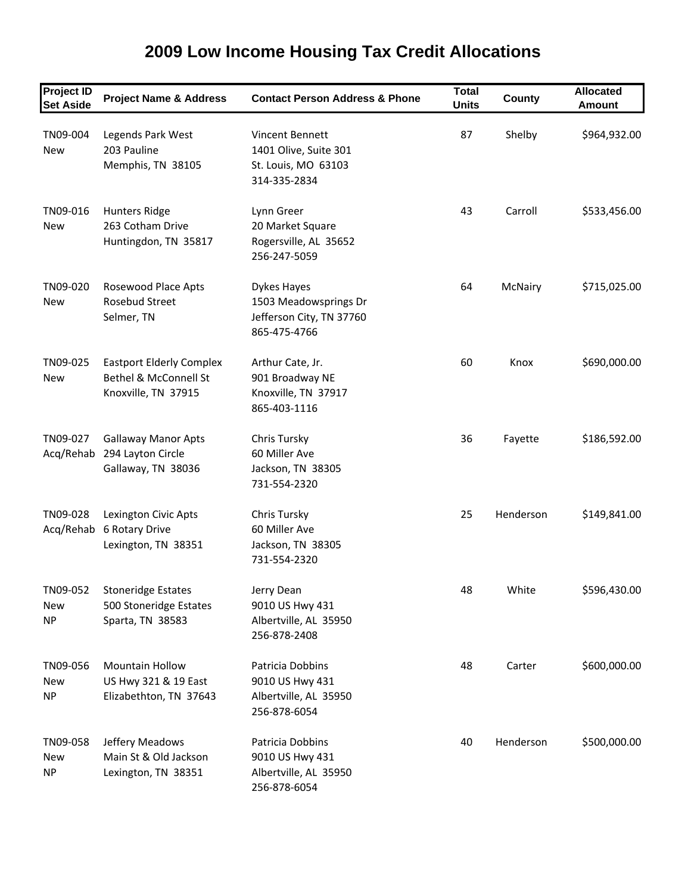#### **Project ID Set Aside Project Name & Address Contact Person Address & Phone Total Units County Allocated Amount** TN09‐004 Legends Park West Vincent Bennett 87 Shelby \$964,932.00 New 203 Pauline 1401 Olive, Suite 301 Memphis, TN 38105 St. Louis, MO 63103 314‐335‐2834 TN09-016 Hunters Ridge Lynn Greer Lynn Greer 43 Carroll \$533,456.00 New 263 Cotham Drive 20 Market Square Huntingdon, TN 35817 Rogersville, AL 35652 256‐247‐5059 TN09-020 Rosewood Place Apts Dykes Hayes 64 McNairy \$715,025.00 New Rosebud Street 1503 Meadowsprings Dr Selmer, TN Jefferson City, TN 37760 865‐475‐4766 TN09-025 Eastport Elderly Complex Arthur Cate, Jr. 60 Knox \$690,000.00 New Bethel & McConnell St 901 Broadway NE Knoxville, TN 37915 Knoxville, TN 37917 865‐403‐1116 TN09-027 Gallaway Manor Apts Chris Tursky Chris Tursky 36 Fayette \$186,592.00 Acq/Rehab 294 Layton Circle 60 Miller Ave Gallaway, TN 38036 Jackson, TN 38305 731‐554‐2320 TN09‐028 Lexington Civic Apts Chris Tursky 25 Henderson \$149,841.00 Acq/Rehab 6 Rotary Drive 60 Miller Ave Lexington, TN 38351 Jackson, TN 38305 731‐554‐2320 TN09-052 Stoneridge Estates Jerry Dean 1999-052 Stoneridge Estates Jerry Dean 1999-052 ASS 2000 New 500 Stoneridge Estates 9010 US Hwy 431 NP Sparta, TN 38583 Albertville, AL 35950 256‐878‐2408 TN09-056 Mountain Hollow Patricia Dobbins 18 Manus 48 Carter \$600,000.00 New US Hwy 321 & 19 East 9010 US Hwy 431 NP Elizabethton, TN 37643 Albertville, AL 35950 256‐878‐6054 TN09‐058 Jeffery Meadows Patricia Dobbins 40 Henderson \$500,000.00 New Main St & Old Jackson 9010 US Hwy 431 NP Lexington, TN 38351 Albertville, AL 35950

256‐878‐6054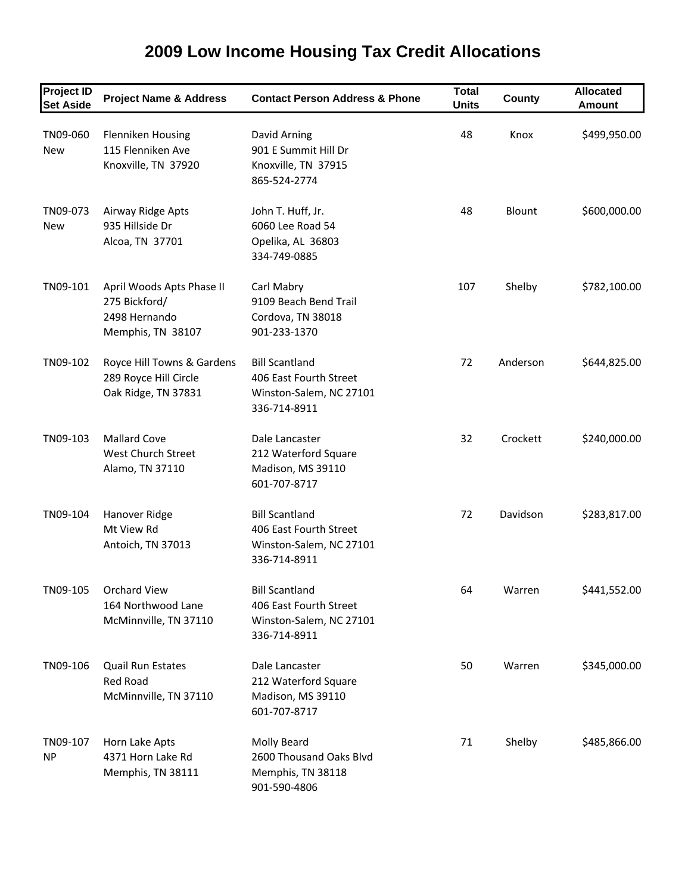#### **Project ID Set Aside Project Name & Address Contact Person Address & Phone Total Units County Allocated Amount** TN09-060 Flenniken Housing David Arning 2008 18 48 Knox \$499,950.00 New 115 Flenniken Ave 901 E Summit Hill Dr Knoxville, TN 37920 Knoxville, TN 37915 865‐524‐2774 TN09-073 Airway Ridge Apts John T. Huff, Jr. 48 Blount \$600,000.00 New 935 Hillside Dr 6060 Lee Road 54 Alcoa, TN 37701 Opelika, AL 36803 334‐749‐0885 TN09-101 April Woods Apts Phase II Carl Mabry 107 Shelby \$782,100.00 275 Bickford/ 9109 Beach Bend Trail 2498 Hernando Cordova, TN 38018 Memphis, TN 38107 901-233-1370 TN09-102 Royce Hill Towns & Gardens Bill Scantland 72 Anderson \$644,825.00 289 Royce Hill Circle 406 East Fourth Street Oak Ridge, TN 37831 Winston‐Salem, NC 27101 336‐714‐8911 TN09‐103 Mallard Cove Dale Lancaster 32 Crockett \$240,000.00 West Church Street 212 Waterford Square Alamo, TN 37110 Madison, MS 39110 601‐707‐8717 TN09-104 Hanover Ridge Bill Scantland 72 Davidson \$283,817.00 Mt View Rd
and the Cast Fourth Street Antoich, TN 37013 Winston-Salem, NC 27101 336‐714‐8911 TN09‐105 Orchard View Bill Scantland 64 Warren \$441,552.00 164 Northwood Lane 406 East Fourth Street McMinnville, TN 37110 Winston‐Salem, NC 27101 336‐714‐8911 TN09-106 Quail Run Estates Dale Lancaster 50 Warren \$345,000.00 Red Road 212 Waterford Square McMinnville, TN 37110 Madison, MS 39110 601‐707‐8717 TN09-107 Horn Lake Apts Molly Beard Molly Beard 71 Shelby \$485,866.00 NP 4371 Horn Lake Rd 2600 Thousand Oaks Blvd Memphis, TN 38111 Memphis, TN 38118

901‐590‐4806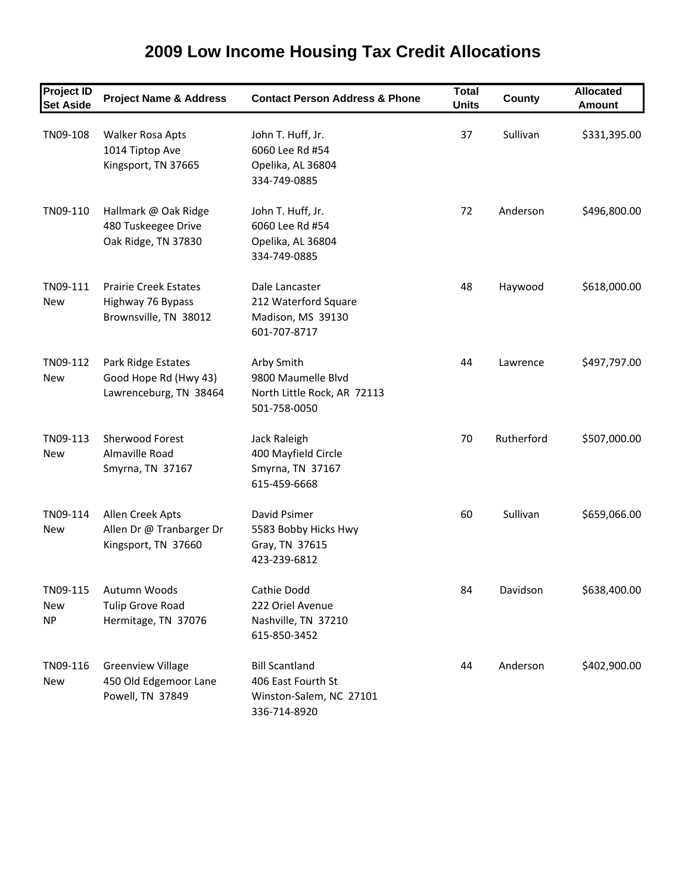| <b>Project ID</b><br><b>Set Aside</b> | <b>Project Name &amp; Address</b>                                          | <b>Contact Person Address &amp; Phone</b>                                              | <b>Total</b><br><b>Units</b> | County     | <b>Allocated</b><br><b>Amount</b> |
|---------------------------------------|----------------------------------------------------------------------------|----------------------------------------------------------------------------------------|------------------------------|------------|-----------------------------------|
| TN09-108                              | Walker Rosa Apts<br>1014 Tiptop Ave<br>Kingsport, TN 37665                 | John T. Huff, Jr.<br>6060 Lee Rd #54<br>Opelika, AL 36804<br>334-749-0885              | 37                           | Sullivan   | \$331,395.00                      |
| TN09-110                              | Hallmark @ Oak Ridge<br>480 Tuskeegee Drive<br>Oak Ridge, TN 37830         | John T. Huff, Jr.<br>6060 Lee Rd #54<br>Opelika, AL 36804<br>334-749-0885              | 72                           | Anderson   | \$496,800.00                      |
| TN09-111<br><b>New</b>                | <b>Prairie Creek Estates</b><br>Highway 76 Bypass<br>Brownsville, TN 38012 | Dale Lancaster<br>212 Waterford Square<br>Madison, MS 39130<br>601-707-8717            | 48                           | Haywood    | \$618,000.00                      |
| TN09-112<br><b>New</b>                | Park Ridge Estates<br>Good Hope Rd (Hwy 43)<br>Lawrenceburg, TN 38464      | Arby Smith<br>9800 Maumelle Blvd<br>North Little Rock, AR 72113<br>501-758-0050        | 44                           | Lawrence   | \$497,797.00                      |
| TN09-113<br><b>New</b>                | <b>Sherwood Forest</b><br>Almaville Road<br>Smyrna, TN 37167               | Jack Raleigh<br>400 Mayfield Circle<br>Smyrna, TN 37167<br>615-459-6668                | 70                           | Rutherford | \$507,000.00                      |
| TN09-114<br><b>New</b>                | Allen Creek Apts<br>Allen Dr @ Tranbarger Dr<br>Kingsport, TN 37660        | David Psimer<br>5583 Bobby Hicks Hwy<br>Gray, TN 37615<br>423-239-6812                 | 60                           | Sullivan   | \$659,066.00                      |
| TN09-115<br>New<br><b>NP</b>          | Autumn Woods<br><b>Tulip Grove Road</b><br>Hermitage, TN 37076             | Cathie Dodd<br>222 Oriel Avenue<br>Nashville, TN 37210<br>615-850-3452                 | 84                           | Davidson   | \$638,400.00                      |
| TN09-116<br>New                       | <b>Greenview Village</b><br>450 Old Edgemoor Lane<br>Powell, TN 37849      | <b>Bill Scantland</b><br>406 East Fourth St<br>Winston-Salem, NC 27101<br>336-714-8920 | 44                           | Anderson   | \$402,900.00                      |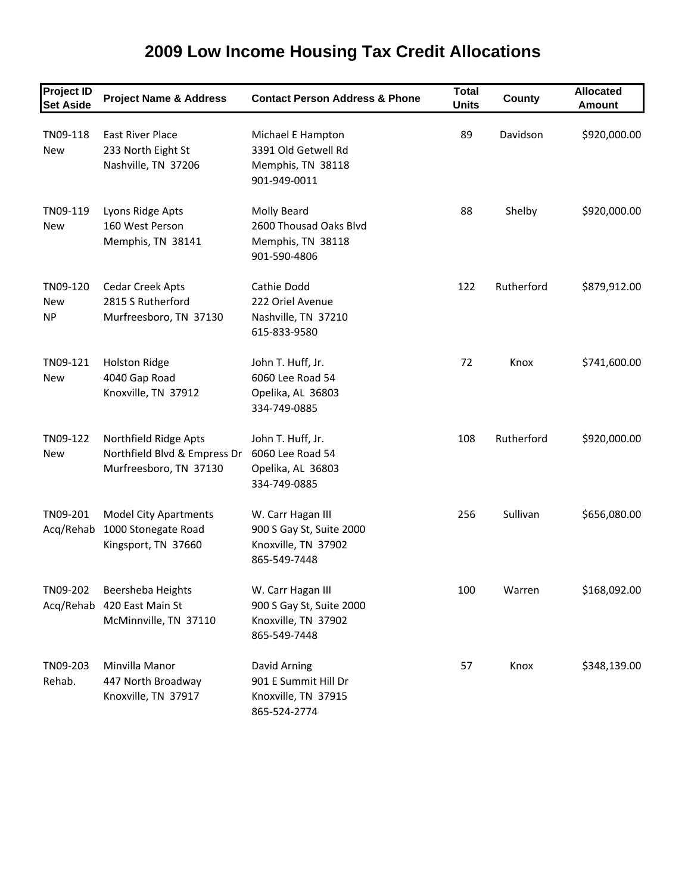| <b>2009 Low Income Housing Tax Credit Allocations</b> |  |
|-------------------------------------------------------|--|
|-------------------------------------------------------|--|

| <b>Project ID</b><br><b>Set Aside</b> | <b>Project Name &amp; Address</b>                                               | <b>Contact Person Address &amp; Phone</b>                                            | <b>Total</b><br><b>Units</b> | County     | <b>Allocated</b><br><b>Amount</b> |
|---------------------------------------|---------------------------------------------------------------------------------|--------------------------------------------------------------------------------------|------------------------------|------------|-----------------------------------|
| TN09-118<br><b>New</b>                | East River Place<br>233 North Eight St<br>Nashville, TN 37206                   | Michael E Hampton<br>3391 Old Getwell Rd<br>Memphis, TN 38118<br>901-949-0011        | 89                           | Davidson   | \$920,000.00                      |
| TN09-119<br><b>New</b>                | Lyons Ridge Apts<br>160 West Person<br>Memphis, TN 38141                        | Molly Beard<br>2600 Thousad Oaks Blvd<br>Memphis, TN 38118<br>901-590-4806           | 88                           | Shelby     | \$920,000.00                      |
| TN09-120<br>New<br><b>NP</b>          | <b>Cedar Creek Apts</b><br>2815 S Rutherford<br>Murfreesboro, TN 37130          | Cathie Dodd<br>222 Oriel Avenue<br>Nashville, TN 37210<br>615-833-9580               | 122                          | Rutherford | \$879,912.00                      |
| TN09-121<br><b>New</b>                | <b>Holston Ridge</b><br>4040 Gap Road<br>Knoxville, TN 37912                    | John T. Huff, Jr.<br>6060 Lee Road 54<br>Opelika, AL 36803<br>334-749-0885           | 72                           | Knox       | \$741,600.00                      |
| TN09-122<br>New                       | Northfield Ridge Apts<br>Northfield Blvd & Empress Dr<br>Murfreesboro, TN 37130 | John T. Huff, Jr.<br>6060 Lee Road 54<br>Opelika, AL 36803<br>334-749-0885           | 108                          | Rutherford | \$920,000.00                      |
| TN09-201<br>Acq/Rehab                 | <b>Model City Apartments</b><br>1000 Stonegate Road<br>Kingsport, TN 37660      | W. Carr Hagan III<br>900 S Gay St, Suite 2000<br>Knoxville, TN 37902<br>865-549-7448 | 256                          | Sullivan   | \$656,080.00                      |
| TN09-202                              | Beersheba Heights<br>Acq/Rehab 420 East Main St<br>McMinnville, TN 37110        | W. Carr Hagan III<br>900 S Gay St, Suite 2000<br>Knoxville, TN 37902<br>865-549-7448 | 100                          | Warren     | \$168,092.00                      |
| TN09-203<br>Rehab.                    | Minvilla Manor<br>447 North Broadway<br>Knoxville, TN 37917                     | David Arning<br>901 E Summit Hill Dr<br>Knoxville, TN 37915<br>865-524-2774          | 57                           | Knox       | \$348,139.00                      |